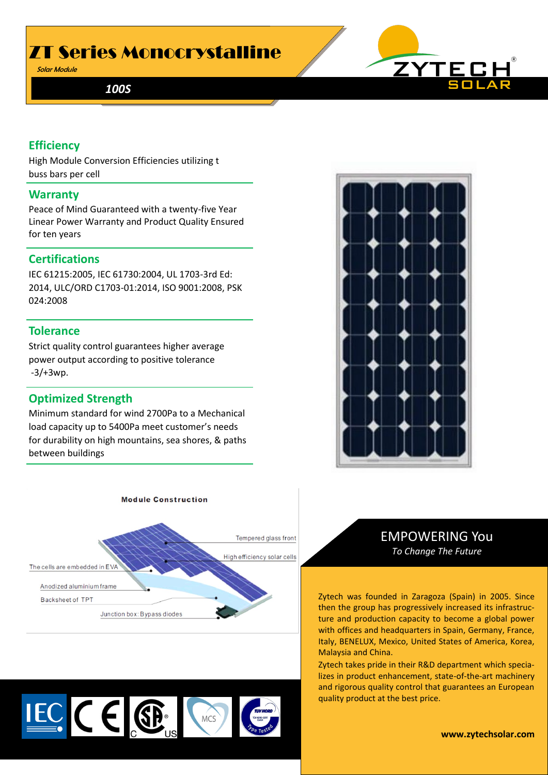## ZT Series Monocrystalline

Solar Module

*100S*



#### **Efficiency**

High Module Conversion Efficiencies utilizing two buss bars per cell.

#### **Warranty**

Peace of Mind Guaranteed with a twenty-five Year Linear Power Warranty and Product Quality Ensured for ten years

#### **Certifications**

IEC 61215:2005, IEC 61730:2004, UL 1703-3rd Ed: 2014, ULC/ORD C1703-01:2014, ISO 9001:2008, PSK 024:2008

#### **Tolerance**

Strict quality control guarantees higher average power output according to positive tolerance -3/+3wp.

#### **Optimized Strength**

Minimum standard for wind 2700Pa to a Mechanical load capacity up to 5400Pa meet customer's needs for durability on high mountains, sea shores, & paths between buildings





**Module Construction** 

EMPOWERING You *To Change The Future*

Zytech was founded in Zaragoza (Spain) in 2005. Since then the group has progressively increased its infrastructure and production capacity to become a global power with offices and headquarters in Spain, Germany, France, Italy, BENELUX, Mexico, United States of America, Korea, Malaysia and China.

Zytech takes pride in their R&D department which specializes in product enhancement, state-of-the-art machinery and rigorous quality control that guarantees an European quality product at the best price.



**www.zytechsolar.com**